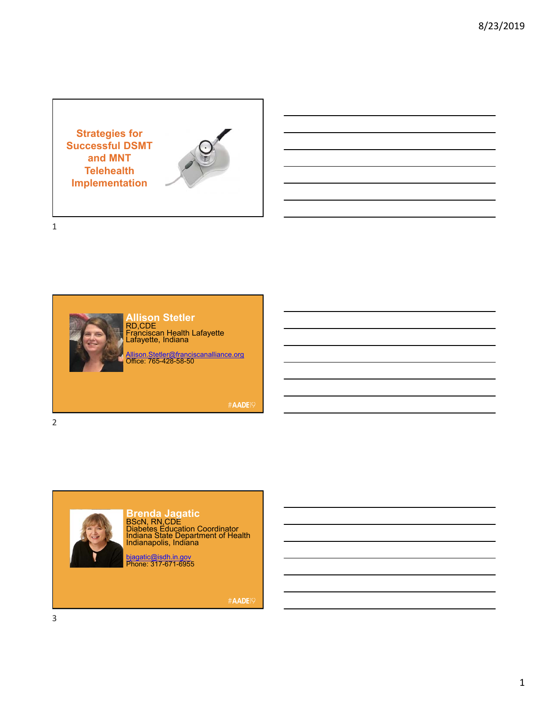**Strategies for Successful DSMT and MNT Telehealth Implementation**



1



**Allison Stetler** RD,CDE Franciscan Health Lafayette Lafayette, Indiana

Allison.Stetler@franciscanalliance.org Office: 765-428-58-50

#AADE19

2



**Brenda Jagatic** BScN, RN,CDE Diabetes Education Coordinator Indiana State Department of Health Indianapolis, Indiana

bjagatic@isdh.in.gov<br>Phone: 317-671-6955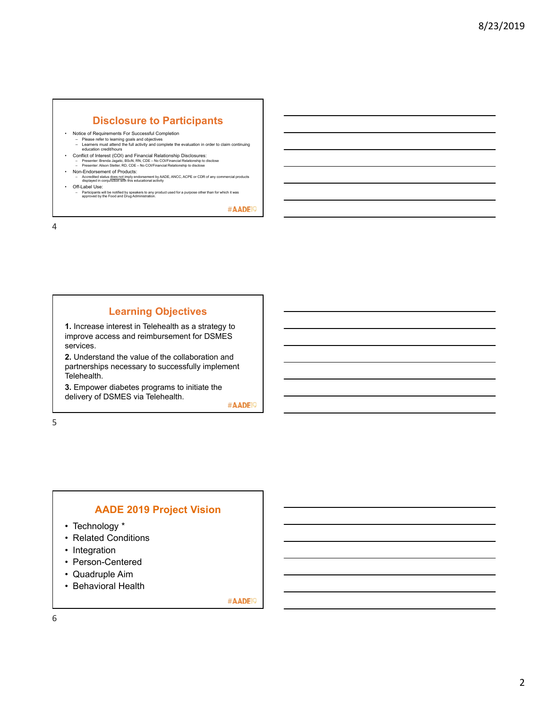# **Disclosure to Participants**

- 
- Notice of Requirements For Successful Completion Please refer to learning goals and objectives Learners must attend the full activity and complete the evaluation in order to claim continuing education credit/hours
- Conflict of Interest (COI) and Financial Relationship Disclosures:<br>← Presenter: Brenda Jagatic, BScN, RN, CDE No COI/Financial Relationship to disclose<br>← Presenter: Alison Stetler, RD, CDE No COI/Financial Relations
- 
- Non-Endorsement of Products: Accredited status does not imply endorsement by AADE, ANCC, ACPE or CDR of any commercial products displayed in conjunction with this educational activity
- Off-Label Use:
	- Participants will be notified by speakers to any product used for a purpose other than for which it was approved by the Food and Drug Administration.

#AADE<sup>19</sup>

4

## **Learning Objectives**

**1.** Increase interest in Telehealth as a strategy to improve access and reimbursement for DSMES services.

**2.** Understand the value of the collaboration and partnerships necessary to successfully implement Telehealth.

**3.** Empower diabetes programs to initiate the delivery of DSMES via Telehealth.

#AADE<sup>19</sup>

5

### **AADE 2019 Project Vision**

- Technology \*
- Related Conditions
- Integration
- Person-Centered
- Quadruple Aim
- Behavioral Health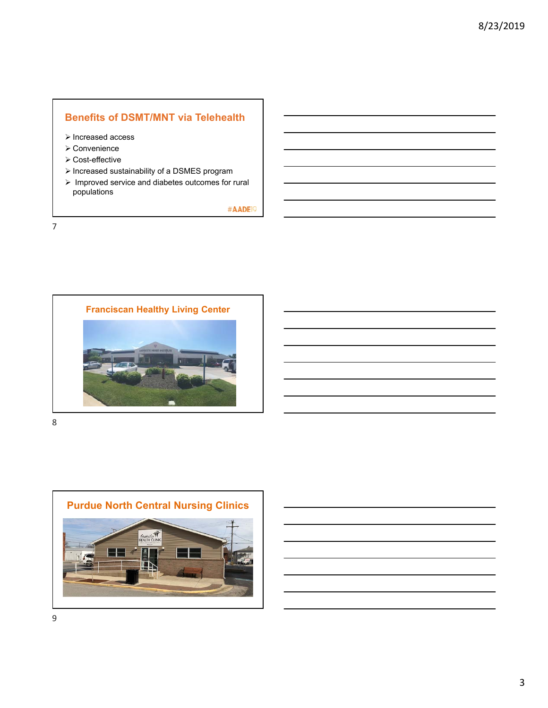# **Benefits of DSMT/MNT via Telehealth**

- > Increased access
- Convenience
- Cost-effective
- Increased sustainability of a DSMES program
- $\triangleright$  Improved service and diabetes outcomes for rural populations

#AADE<sup>19</sup>

7



8



9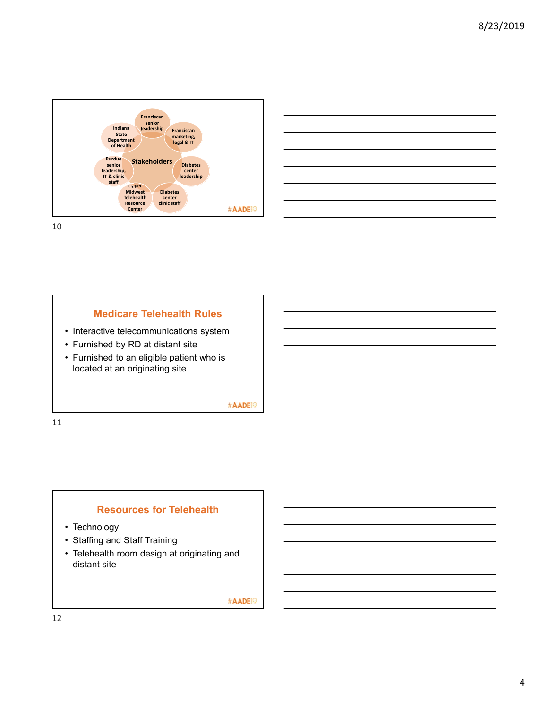



### **Medicare Telehealth Rules**

- Interactive telecommunications system
- Furnished by RD at distant site
- Furnished to an eligible patient who is located at an originating site

#### #AADE<sup>19</sup>

11

#### **Resources for Telehealth**

- Technology
- Staffing and Staff Training
- Telehealth room design at originating and distant site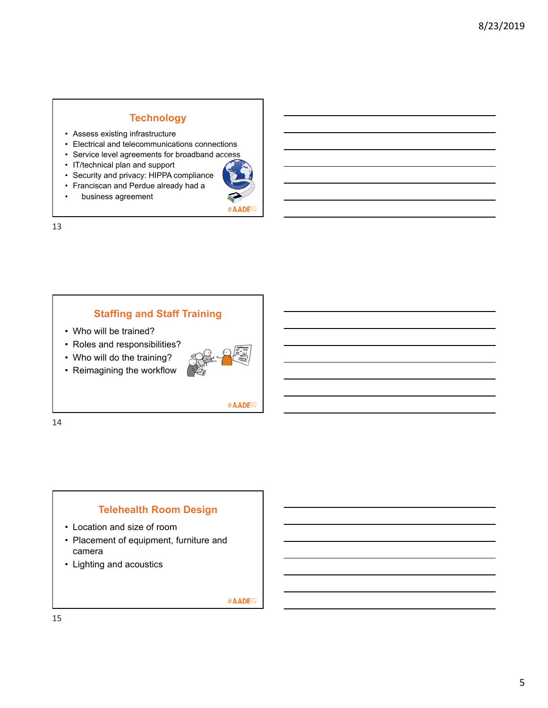## **Technology**

- Assess existing infrastructure
- Electrical and telecommunications connections
- Service level agreements for broadband access
- IT/technical plan and support
- Security and privacy: HIPPA compliance
- Franciscan and Perdue already had a
- business agreement



13

## **Staffing and Staff Training**

- Who will be trained?
- Roles and responsibilities?
- Who will do the training?
- Reimagining the workflow



#AADE<sup>19</sup>

14

## **Telehealth Room Design**

- Location and size of room
- Placement of equipment, furniture and camera
- Lighting and acoustics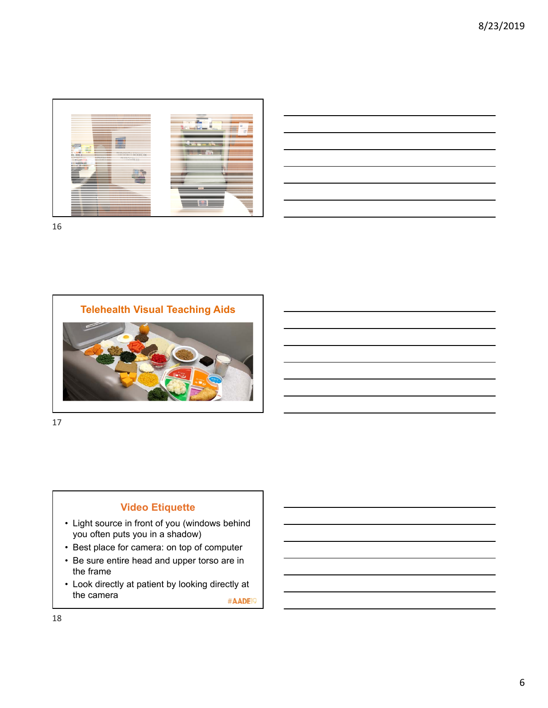

| the contract of the contract of the contract of the contract of                                                       |  |  |        |
|-----------------------------------------------------------------------------------------------------------------------|--|--|--------|
| <u>successive and the contract of the contract of the contract of the contract of the contract of the contract of</u> |  |  |        |
|                                                                                                                       |  |  | ______ |
| the contract of the contract of the contract of                                                                       |  |  |        |
|                                                                                                                       |  |  |        |

16



17

## **Video Etiquette**

- Light source in front of you (windows behind you often puts you in a shadow)
- Best place for camera: on top of computer
- Be sure entire head and upper torso are in the frame
- Look directly at patient by looking directly at the camera #AADE<sup>19</sup>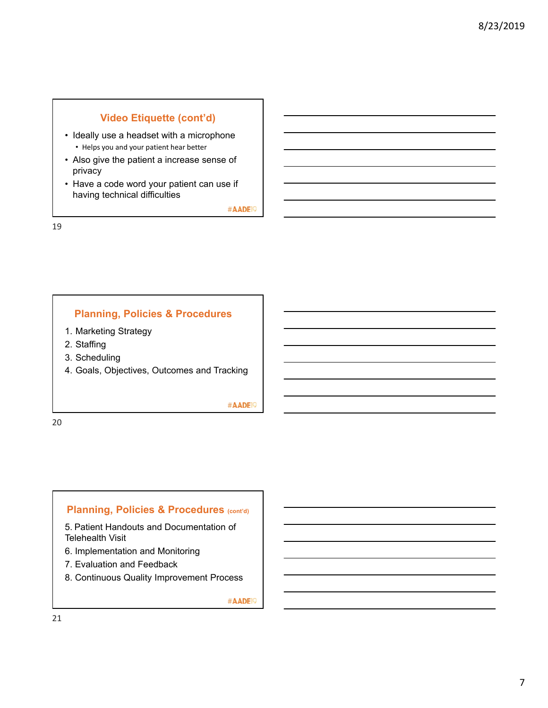# **Video Etiquette (cont'd)**

- Ideally use a headset with a microphone • Helps you and your patient hear better
- Also give the patient a increase sense of privacy
- Have a code word your patient can use if having technical difficulties

#AADE<sup>19</sup>

19

## **Planning, Policies & Procedures**

- 1. Marketing Strategy
- 2. Staffing
- 3. Scheduling
- 4. Goals, Objectives, Outcomes and Tracking

#AADE<sup>19</sup>

20

## **Planning, Policies & Procedures (cont'd)**

5. Patient Handouts and Documentation of Telehealth Visit

- 6. Implementation and Monitoring
- 7. Evaluation and Feedback
- 8. Continuous Quality Improvement Process